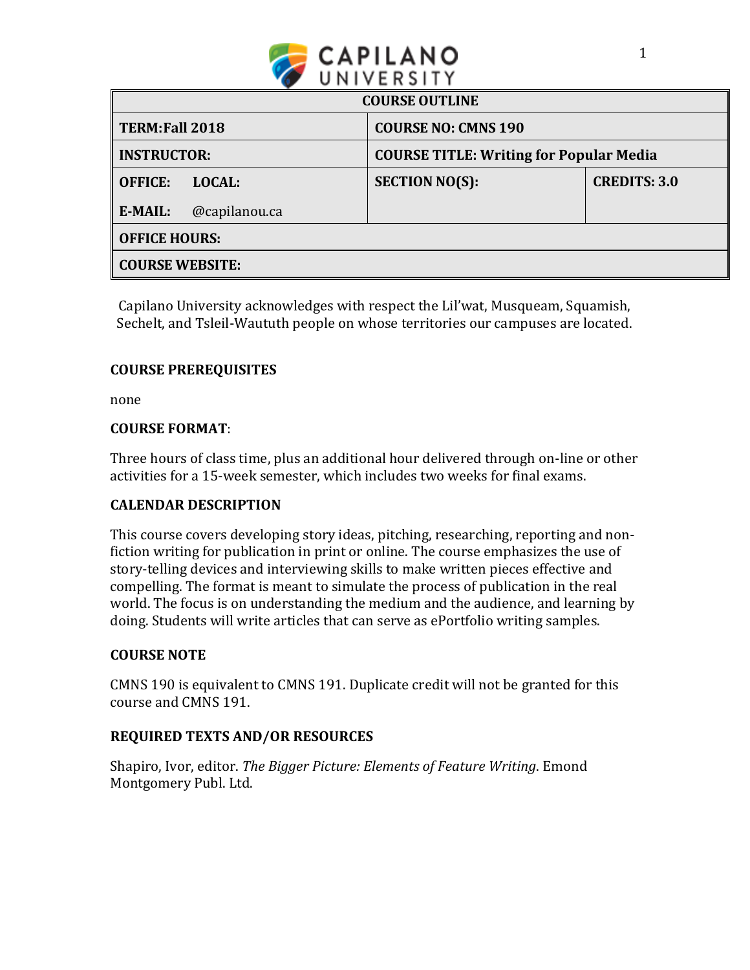

| <b>COURSE OUTLINE</b>  |               |                                                |                     |
|------------------------|---------------|------------------------------------------------|---------------------|
| TERM: Fall 2018        |               | <b>COURSE NO: CMNS 190</b>                     |                     |
| <b>INSTRUCTOR:</b>     |               | <b>COURSE TITLE: Writing for Popular Media</b> |                     |
| <b>OFFICE:</b>         | <b>LOCAL:</b> | <b>SECTION NO(S):</b>                          | <b>CREDITS: 3.0</b> |
| E-MAIL:                | @capilanou.ca |                                                |                     |
| <b>OFFICE HOURS:</b>   |               |                                                |                     |
| <b>COURSE WEBSITE:</b> |               |                                                |                     |

Capilano University acknowledges with respect the Lil'wat, Musqueam, Squamish, Sechelt, and Tsleil-Waututh people on whose territories our campuses are located.

# **COURSE PREREQUISITES**

none

## **COURSE FORMAT**:

Three hours of class time, plus an additional hour delivered through on-line or other activities for a 15-week semester, which includes two weeks for final exams.

## **CALENDAR DESCRIPTION**

This course covers developing story ideas, pitching, researching, reporting and nonfiction writing for publication in print or online. The course emphasizes the use of story-telling devices and interviewing skills to make written pieces effective and compelling. The format is meant to simulate the process of publication in the real world. The focus is on understanding the medium and the audience, and learning by doing. Students will write articles that can serve as ePortfolio writing samples.

### **COURSE NOTE**

CMNS 190 is equivalent to CMNS 191. Duplicate credit will not be granted for this course and CMNS 191.

## **REQUIRED TEXTS AND/OR RESOURCES**

Shapiro, Ivor, editor. *The Bigger Picture: Elements of Feature Writing*. Emond Montgomery Publ. Ltd.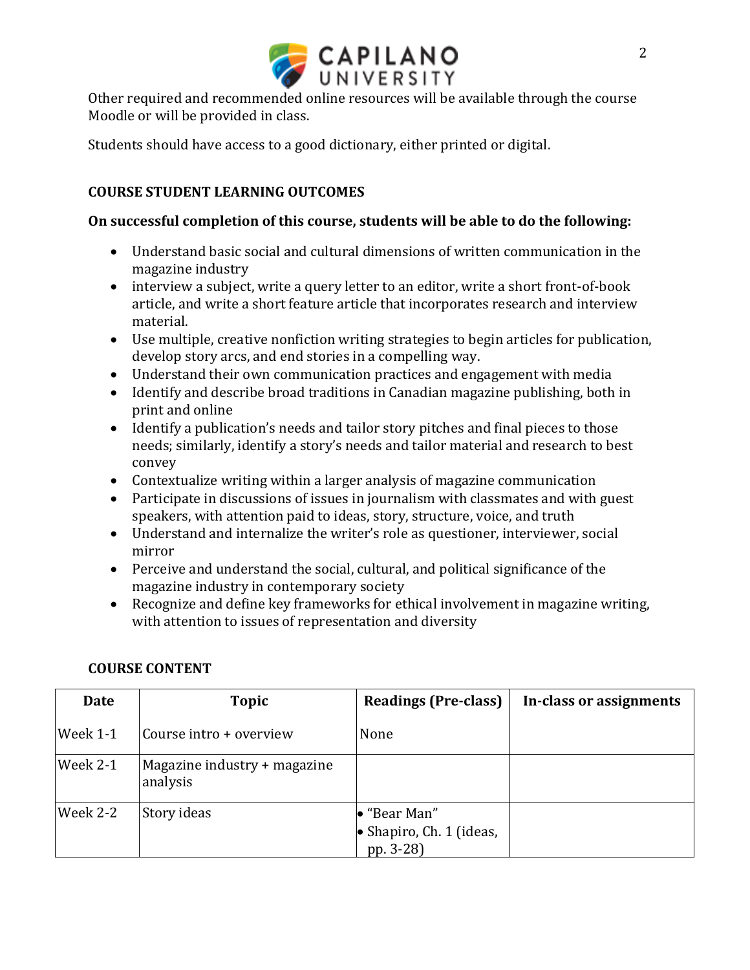

Other required and recommended online resources will be available through the course Moodle or will be provided in class.

Students should have access to a good dictionary, either printed or digital.

# **COURSE STUDENT LEARNING OUTCOMES**

### **On successful completion of this course, students will be able to do the following:**

- Understand basic social and cultural dimensions of written communication in the magazine industry
- interview a subject, write a query letter to an editor, write a short front-of-book article, and write a short feature article that incorporates research and interview material.
- Use multiple, creative nonfiction writing strategies to begin articles for publication, develop story arcs, and end stories in a compelling way.
- Understand their own communication practices and engagement with media
- Identify and describe broad traditions in Canadian magazine publishing, both in print and online
- Identify a publication's needs and tailor story pitches and final pieces to those needs; similarly, identify a story's needs and tailor material and research to best convey
- Contextualize writing within a larger analysis of magazine communication
- Participate in discussions of issues in journalism with classmates and with guest speakers, with attention paid to ideas, story, structure, voice, and truth
- Understand and internalize the writer's role as questioner, interviewer, social mirror
- Perceive and understand the social, cultural, and political significance of the magazine industry in contemporary society
- Recognize and define key frameworks for ethical involvement in magazine writing, with attention to issues of representation and diversity

| <b>Date</b> | <b>Topic</b>                             | <b>Readings (Pre-class)</b>                                           | In-class or assignments |
|-------------|------------------------------------------|-----------------------------------------------------------------------|-------------------------|
| Week 1-1    | Course intro + overview                  | None                                                                  |                         |
| Week 2-1    | Magazine industry + magazine<br>analysis |                                                                       |                         |
| Week 2-2    | Story ideas                              | $\bullet$ "Bear Man"<br>$\bullet$ Shapiro, Ch. 1 (ideas,<br>pp. 3-28) |                         |

## **COURSE CONTENT**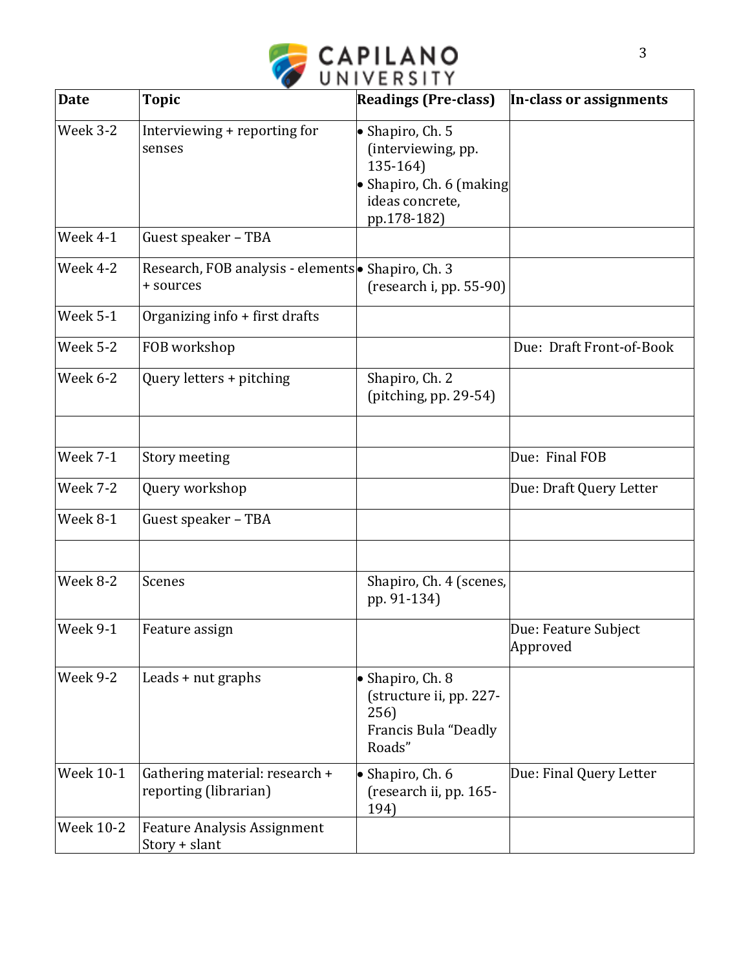

| <b>Date</b>      | <b>Topic</b>                                                    | <b>Readings (Pre-class)</b>                                                                                              | In-class or assignments          |
|------------------|-----------------------------------------------------------------|--------------------------------------------------------------------------------------------------------------------------|----------------------------------|
| Week 3-2         | Interviewing + reporting for<br>senses                          | $\bullet$ Shapiro, Ch. 5<br>(interviewing, pp.<br>135-164)<br>• Shapiro, Ch. 6 (making<br>ideas concrete,<br>pp.178-182) |                                  |
| Week 4-1         | Guest speaker - TBA                                             |                                                                                                                          |                                  |
| Week 4-2         | Research, FOB analysis - elements • Shapiro, Ch. 3<br>+ sources | (research i, pp. 55-90)                                                                                                  |                                  |
| Week 5-1         | Organizing info + first drafts                                  |                                                                                                                          |                                  |
| Week 5-2         | FOB workshop                                                    |                                                                                                                          | Due: Draft Front-of-Book         |
| Week 6-2         | Query letters + pitching                                        | Shapiro, Ch. 2<br>(pitching, pp. $29-54$ )                                                                               |                                  |
|                  |                                                                 |                                                                                                                          |                                  |
| <b>Week 7-1</b>  | Story meeting                                                   |                                                                                                                          | Due: Final FOB                   |
| Week 7-2         | Query workshop                                                  |                                                                                                                          | Due: Draft Query Letter          |
| Week 8-1         | Guest speaker - TBA                                             |                                                                                                                          |                                  |
|                  |                                                                 |                                                                                                                          |                                  |
| Week 8-2         | Scenes                                                          | Shapiro, Ch. 4 (scenes,<br>pp. 91-134)                                                                                   |                                  |
| Week 9-1         | Feature assign                                                  |                                                                                                                          | Due: Feature Subject<br>Approved |
| Week 9-2         | Leads + nut graphs                                              | • Shapiro, Ch. 8<br>(structure ii, pp. 227-<br>256)<br>Francis Bula "Deadly<br>Roads"                                    |                                  |
| <b>Week 10-1</b> | Gathering material: research +<br>reporting (librarian)         | $\bullet$ Shapiro, Ch. 6<br>(research ii, pp. 165-<br>194)                                                               | Due: Final Query Letter          |
| <b>Week 10-2</b> | <b>Feature Analysis Assignment</b><br>$Story + slant$           |                                                                                                                          |                                  |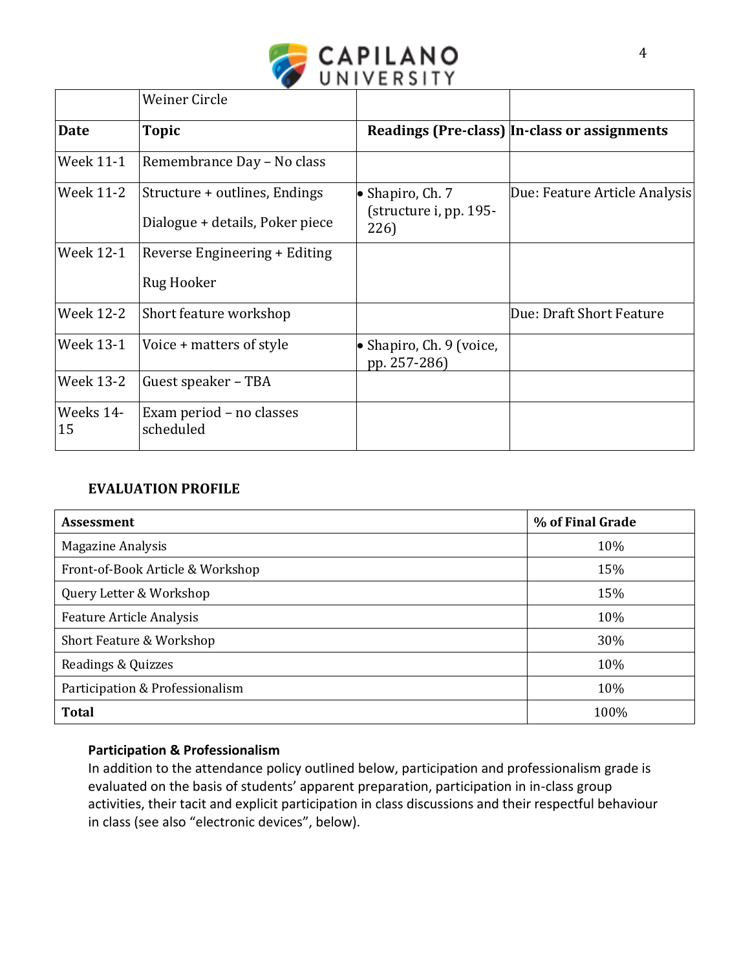

|                  | <b>Weiner Circle</b>                                             |                                                            |                                              |
|------------------|------------------------------------------------------------------|------------------------------------------------------------|----------------------------------------------|
| <b>Date</b>      | <b>Topic</b>                                                     |                                                            | Readings (Pre-class) In-class or assignments |
| Week 11-1        | Remembrance Day - No class                                       |                                                            |                                              |
| Week 11-2        | Structure + outlines, Endings<br>Dialogue + details, Poker piece | $\bullet$ Shapiro, Ch. 7<br>(structure i, pp. 195-<br>226) | Due: Feature Article Analysis                |
| Week 12-1        | Reverse Engineering + Editing<br>Rug Hooker                      |                                                            |                                              |
| <b>Week 12-2</b> | Short feature workshop                                           |                                                            | Due: Draft Short Feature                     |
| Week 13-1        | Voice + matters of style                                         | • Shapiro, Ch. 9 (voice,<br>pp. 257-286)                   |                                              |
| Week 13-2        | Guest speaker – TBA                                              |                                                            |                                              |
| Weeks 14-<br>15  | Exam period – no classes<br>scheduled                            |                                                            |                                              |

## **EVALUATION PROFILE**

| <b>Assessment</b>                | % of Final Grade |
|----------------------------------|------------------|
| <b>Magazine Analysis</b>         | 10%              |
| Front-of-Book Article & Workshop | 15%              |
| Query Letter & Workshop          | 15%              |
| <b>Feature Article Analysis</b>  | 10%              |
| Short Feature & Workshop         | 30%              |
| Readings & Quizzes               | 10%              |
| Participation & Professionalism  | 10%              |
| <b>Total</b>                     | 100%             |

# **Participation & Professionalism**

In addition to the attendance policy outlined below, participation and professionalism grade is evaluated on the basis of students' apparent preparation, participation in in-class group activities, their tacit and explicit participation in class discussions and their respectful behaviour in class (see also "electronic devices", below).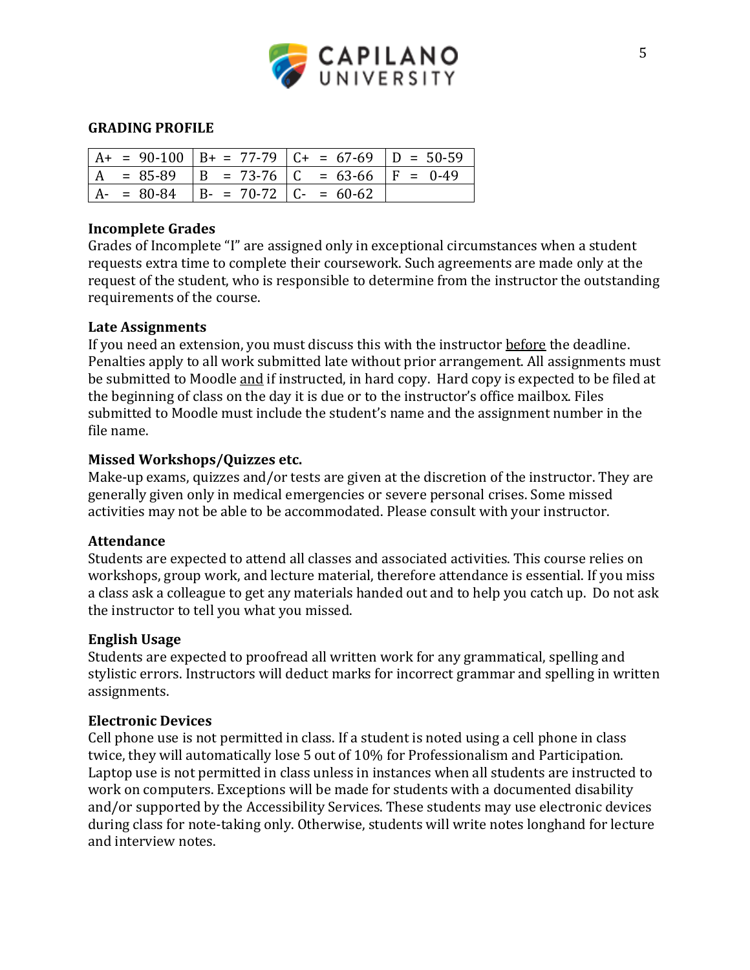

### **GRADING PROFILE**

|  |                                           | $A_{+}$ = 90-100   B+ = 77-79   C+ = 67-69   D = 50-59 |  |
|--|-------------------------------------------|--------------------------------------------------------|--|
|  |                                           | $  A = 85-89   B = 73-76   C = 63-66   F = 0-49$       |  |
|  | $A - 80 - 84$ $B - 70 - 72$ $C - 60 - 62$ |                                                        |  |

### **Incomplete Grades**

Grades of Incomplete "I" are assigned only in exceptional circumstances when a student requests extra time to complete their coursework. Such agreements are made only at the request of the student, who is responsible to determine from the instructor the outstanding requirements of the course.

#### **Late Assignments**

If you need an extension, you must discuss this with the instructor before the deadline. Penalties apply to all work submitted late without prior arrangement. All assignments must be submitted to Moodle and if instructed, in hard copy. Hard copy is expected to be filed at the beginning of class on the day it is due or to the instructor's office mailbox. Files submitted to Moodle must include the student's name and the assignment number in the file name.

#### **Missed Workshops/Quizzes etc.**

Make-up exams, quizzes and/or tests are given at the discretion of the instructor. They are generally given only in medical emergencies or severe personal crises. Some missed activities may not be able to be accommodated. Please consult with your instructor.

#### **Attendance**

Students are expected to attend all classes and associated activities. This course relies on workshops, group work, and lecture material, therefore attendance is essential. If you miss a class ask a colleague to get any materials handed out and to help you catch up. Do not ask the instructor to tell you what you missed.

#### **English Usage**

Students are expected to proofread all written work for any grammatical, spelling and stylistic errors. Instructors will deduct marks for incorrect grammar and spelling in written assignments.

#### **Electronic Devices**

Cell phone use is not permitted in class. If a student is noted using a cell phone in class twice, they will automatically lose 5 out of 10% for Professionalism and Participation. Laptop use is not permitted in class unless in instances when all students are instructed to work on computers. Exceptions will be made for students with a documented disability and/or supported by the Accessibility Services. These students may use electronic devices during class for note-taking only. Otherwise, students will write notes longhand for lecture and interview notes.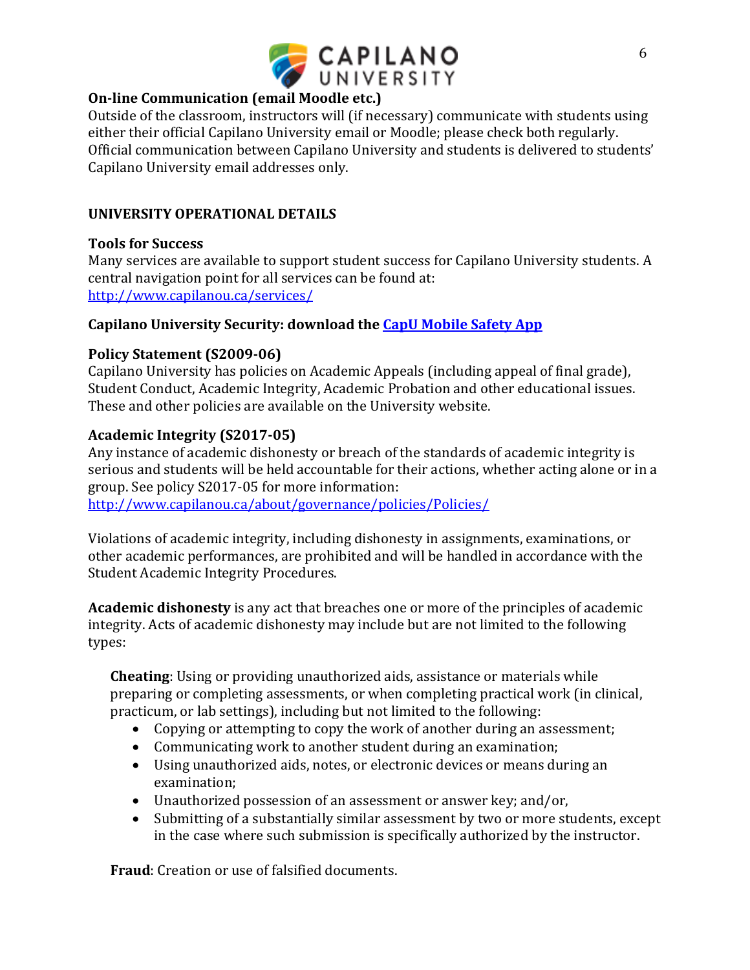

# **On-line Communication (email Moodle etc.)**

Outside of the classroom, instructors will (if necessary) communicate with students using either their official Capilano University email or Moodle; please check both regularly. Official communication between Capilano University and students is delivered to students' Capilano University email addresses only.

# **UNIVERSITY OPERATIONAL DETAILS**

## **Tools for Success**

Many services are available to support student success for Capilano University students. A central navigation point for all services can be found at: <http://www.capilanou.ca/services/>

## **Capilano University Security: download th[e CapU Mobile Safety App](https://www.capilanou.ca/services/safety-security/CapU-Mobile-Safety-App/)**

## **Policy Statement (S2009-06)**

Capilano University has policies on Academic Appeals (including appeal of final grade), Student Conduct, Academic Integrity, Academic Probation and other educational issues. These and other policies are available on the University website.

# **Academic Integrity (S2017-05)**

Any instance of academic dishonesty or breach of the standards of academic integrity is serious and students will be held accountable for their actions, whether acting alone or in a group. See policy S2017-05 for more information: <http://www.capilanou.ca/about/governance/policies/Policies/>

Violations of academic integrity, including dishonesty in assignments, examinations, or other academic performances, are prohibited and will be handled in accordance with the Student Academic Integrity Procedures.

**Academic dishonesty** is any act that breaches one or more of the principles of academic integrity. Acts of academic dishonesty may include but are not limited to the following types:

**Cheating**: Using or providing unauthorized aids, assistance or materials while preparing or completing assessments, or when completing practical work (in clinical, practicum, or lab settings), including but not limited to the following:

- Copying or attempting to copy the work of another during an assessment;
- Communicating work to another student during an examination;
- Using unauthorized aids, notes, or electronic devices or means during an examination;
- Unauthorized possession of an assessment or answer key; and/or,
- Submitting of a substantially similar assessment by two or more students, except in the case where such submission is specifically authorized by the instructor.

**Fraud**: Creation or use of falsified documents.